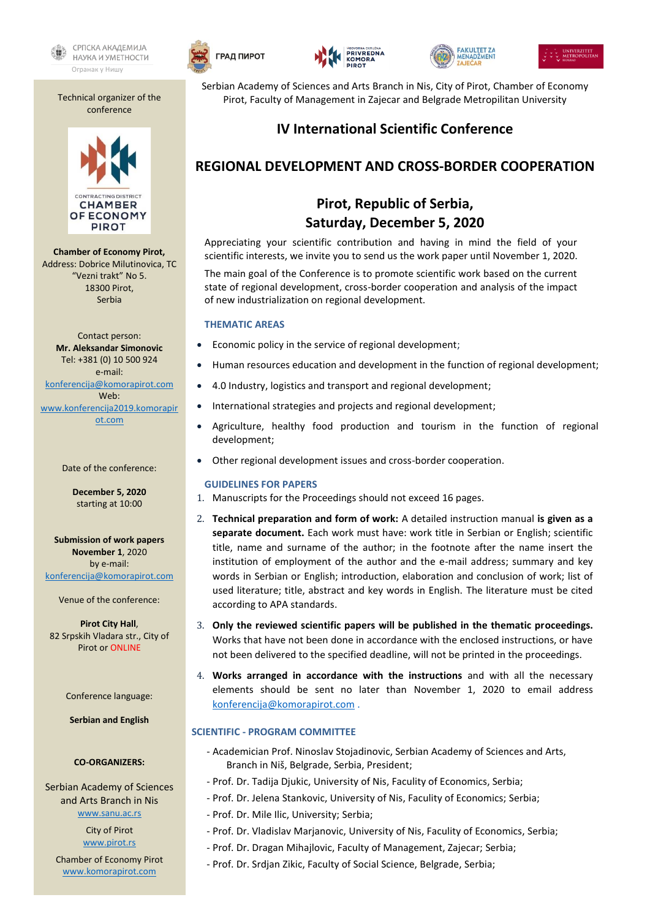

НАУКА И УМЕТНОСТИ Огранак у Нишу

Technical organizer of the conference



**Chamber of Economy Pirot,** Address: Dobrice Milutinovica, TC "Vezni trakt" No 5. 18300 Pirot, Serbia

Contact person: **Mr. Aleksandar Simonovic** Tel: +381 (0) 10 500 924 e-mail: [konferencija@komorapirot.com](file:///C:/Users/Vladan%20Stojanovic/Desktop/Konferencija%20Pirot%202017/konferencija@komorapirot.com) Web: [www.konferencija2019.komorapir](http://www.konferencija2019.komorapirot.com/) [ot.com](http://www.konferencija2019.komorapirot.com/)

Date of the conference:

**December 5, 2020** starting at 10:00

**Submission of work papers November 1**, 2020 by e-mail: [konferencija@komorapirot.com](file:///C:/Users/Vladan%20Stojanovic/Desktop/Konferencija%20Pirot%202017/konferencija@komorapirot.com)

Venue of the conference:

**Pirot City Hall**, 82 Srpskih Vladara str., City of Pirot or ONLINE

Conference language:

**Serbian and English**

#### **CO-ORGANIZERS:**

Serbian Academy of Sciences and Arts Branch in Nis [www.sanu.ac.rs](file:///G:/New%20folder/www.sanu.ac.rs)

> City of Pirot [www.pirot.rs](file:///C:/Users/Vladan%20Stojanovic/Desktop/Konferencija%20Pirot%202017/www.pirot.rs)

Chamber of Economy Pirot [www.komorapirot.com](file:///C:/Users/Vladan%20Stojanovic/Desktop/Konferencija%20Pirot%202017/www.komorapirot.com)









Serbian Academy of Sciences and Arts Branch in Nis, City of Pirot, Chamber of Economy Pirot, Faculty of Management in Zajecar and Belgrade Metropilitan University

## **IV International Scientific Conference**

## **REGIONAL DEVELOPMENT AND CROSS-BORDER COOPERATION**

# **Pirot, Republic of Serbia, Saturday, December 5, 2020**

Appreciating your scientific contribution and having in mind the field of your scientific interests, we invite you to send us the work paper until November 1, 2020.

The main goal of the Conference is to promote scientific work based on the current state of regional development, cross-border cooperation and analysis of the impact of new industrialization on regional development.

#### **THEMATIC AREAS**

- Economic policy in the service of regional development;
- Human resources education and development in the function of regional development;
- 4.0 Industry, logistics and transport and regional development;
- International strategies and projects and regional development;
- Agriculture, healthy food production and tourism in the function of regional development;
- Other regional development issues and cross-border cooperation.

#### **GUIDELINES FOR PAPERS**

- 1. Manuscripts for the Proceedings should not exceed 16 pages.
- 2. **Technical preparation and form of work:** A detailed instruction manual **is given as a separate document.** Each work must have: work title in Serbian or English; scientific title, name and surname of the author; in the footnote after the name insert the institution of employment of the author and the e-mail address; summary and key words in Serbian or English; introduction, elaboration and conclusion of work; list of used literature; title, abstract and key words in English. The literature must be cited according to APA standards.
- 3. **Only the reviewed scientific papers will be published in the thematic proceedings.** Works that have not been done in accordance with the enclosed instructions, or have not been delivered to the specified deadline, will not be printed in the proceedings.
- 4. **Works arranged in accordance with the instructions** and with all the necessary elements should be sent no later than November 1, 2020 to email address [konferencija@komorapirot.com](mailto:konferencija@komorapirot.com) .

### **SCIENTIFIC - PROGRAM COMMITTEE**

- Academician Prof. Ninoslav Stojadinovic, Serbian Academy of Sciences and Arts, Branch in Niš, Belgrade, Serbia, President;
- Prof. Dr. Tadija Djukic, University of Nis, Faculity of Economics, Serbia;
- Prof. Dr. Jelena Stankovic, University of Nis, Faculity of Economics; Serbia;
- Prof. Dr. Mile Ilic, University; Serbia;
- Prof. Dr. Vladislav Marjanovic, University of Nis, Faculity of Economics, Serbia;
- Prof. Dr. Dragan Mihajlovic, Faculty of Management, Zajecar; Serbia;
- Prof. Dr. Srdjan Zikic, Faculty of Social Science, Belgrade, Serbia;